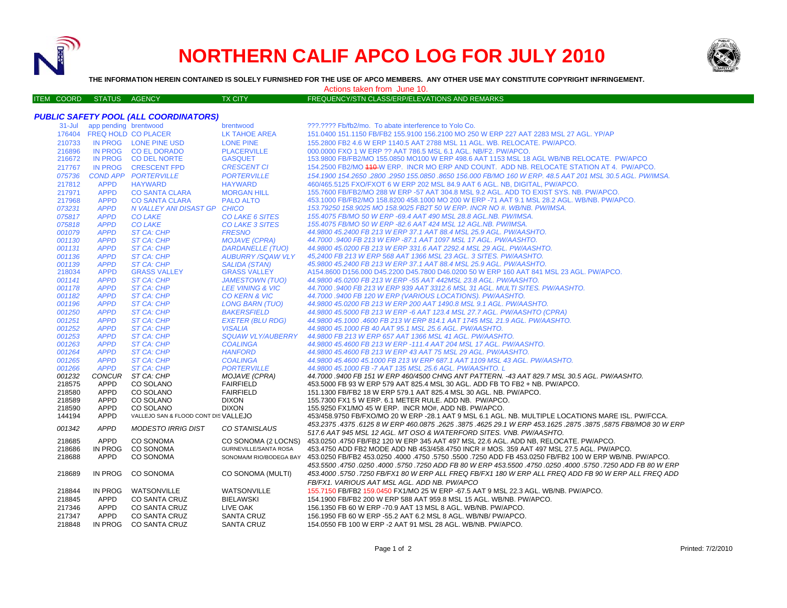

# **NORTHERN CALIF APCO LOG FOR JULY 2010**

322.2222 Fb/fb2/mo. To abate interference to Yolo Co.



**THE INFORMATION HEREIN CONTAINED IS SOLELY FURNISHED FOR THE USE OF APCO MEMBERS. ANY OTHER USE MAY CONSTITUTE COPYRIGHT INFRINGEMENT.**

Actions taken from June 10.

| <b>ITEM COORD STATUS AGENCY</b> |  | <b>TX CITY</b> | <b>FREQUENCY/STN CLASS/ERP/ELEVATIONS AND REMARKS</b> |
|---------------------------------|--|----------------|-------------------------------------------------------|

| <b>PUBLIC SAFETY POOL (ALL COORDINATORS)</b> |  |                              |  |           |  |  |
|----------------------------------------------|--|------------------------------|--|-----------|--|--|
|                                              |  | 31-Jul app pending brentwood |  | brentwood |  |  |
|                                              |  |                              |  |           |  |  |

|                  | 176404 FREQ HOLD CO PLACER |                                                  | LK TAHOE AREA               | 151.0400 151.1150 FB/FB2 155.9100 156.2100 MO 250 W ERP 227 AAT 2283 MSL 27 AGL. YP/AP                                                                     |
|------------------|----------------------------|--------------------------------------------------|-----------------------------|------------------------------------------------------------------------------------------------------------------------------------------------------------|
| 210733           |                            | IN PROG LONE PINE USD                            | <b>LONE PINE</b>            | 155,2800 FB2 4.6 W ERP 1140.5 AAT 2788 MSL 11 AGL, WB, RELOCATE, PW/APCO,                                                                                  |
| 216896           |                            | IN PROG CO EL DORADO                             | <b>PLACERVILLE</b>          | 000,0000 FXO 1 W ERP ?? AAT 786.5 MSL 6.1 AGL, NB/F2, PW/APCO.                                                                                             |
| 216672           |                            | IN PROG CO DEL NORTE                             | <b>GASQUET</b>              | 153.9800 FB/FB2/MO 155.0850 MO100 W ERP 498.6 AAT 1153 MSL 18 AGL WB/NB RELOCATE. PW/APCO                                                                  |
| 217767           |                            | IN PROG CRESCENT FPD                             | <b>CRESCENT CI</b>          | 154.2500 FB2/MO 410-W ERP. INCR MO ERP AND COUNT. ADD NB. RELOCATE STATION AT 4. PW/APCO.                                                                  |
| 075736           |                            | <b>COND APP PORTERVILLE</b>                      | <b>PORTERVILLE</b>          | 154.1900 154.2650 .2800 .2950 155.0850 .8650 156.000 FB/MO 160 W ERP. 48.5 AAT 201 MSL 30.5 AGL. PW/IMSA.                                                  |
| 217812           | <b>APPD</b>                | <b>HAYWARD</b>                                   | <b>HAYWARD</b>              | 460/465.5125 FXO/FXOT 6 W ERP 202 MSL 84.9 AAT 6 AGL, NB, DIGITAL, PW/APCO,                                                                                |
| 217971           | <b>APPD</b>                | <b>CO SANTA CLARA</b>                            | <b>MORGAN HILL</b>          | 155.7600 FB/FB2/MO 288 W ERP -57 AAT 304.8 MSL 9.2 AGL. ADD TO EXIST SYS. NB. PW/APCO.                                                                     |
| 217968           | <b>APPD</b>                | <b>CO SANTA CLARA</b>                            | <b>PALO ALTO</b>            | 453.1000 FB/FB2/MO 158.8200 458.1000 MO 200 W ERP -71 AAT 9.1 MSL 28.2 AGL, WB/NB, PW/APCO,                                                                |
| 073231           | <b>APPD</b>                | N VALLEY ANI DISAST GP CHICO                     |                             | 153.79250 158.9025 MO 158.9025 FB2T 50 W ERP. INCR NO #. WB/NB. PW/IMSA.                                                                                   |
| 075817           | <b>APPD</b>                | <b>CO LAKE</b>                                   | CO LAKE 6 SITES             | 155.4075 FB/MO 50 W ERP -69.4 AAT 490 MSL 28.8 AGL.NB. PW/IMSA.                                                                                            |
| 075818           | <b>APPD</b>                | <b>CO LAKE</b>                                   | <b>CO LAKE 3 SITES</b>      | 155.4075 FB/MO 50 W ERP -82.6 AAT 424 MSL 12 AGL.NB. PW/IMSA.                                                                                              |
| 001079           | <b>APPD</b>                | ST CA: CHP                                       | <b>FRESNO</b>               | 44.9800 45.2400 FB 213 W ERP 37.1 AAT 88.4 MSL 25.9 AGL. PW/AASHTO.                                                                                        |
| 001130           | <b>APPD</b>                | ST CA: CHP                                       | <b>MOJAVE (CPRA)</b>        | 44,7000 .9400 FB 213 W ERP -87.1 AAT 1097 MSL 17 AGL, PW/AASHTO.                                                                                           |
| 001131           | <b>APPD</b>                | ST CA: CHP                                       | DARDANELLE (TUO)            | 44.9800 45.0200 FB 213 W ERP 331.6 AAT 2292.4 MSL 29 AGL. PW/AASHTO.                                                                                       |
| 001136           | <b>APPD</b>                | ST CA: CHP                                       | <b>AUBURRY/SQAW VLY</b>     | 45.2400 FB 213 W ERP 568 AAT 1366 MSL 23 AGL, 3 SITES, PW/AASHTO,                                                                                          |
| 001139           | <b>APPD</b>                | ST CA: CHP                                       | <b>SALIDA (STAN)</b>        | 45.9800 45.2400 FB 213 W ERP 37.1 AAT 88.4 MSL 25.9 AGL. PW/AASHTO.                                                                                        |
| 218034           | <b>APPD</b>                | <b>GRASS VALLEY</b>                              | <b>GRASS VALLEY</b>         | A154.8600 D156.000 D45.2200 D45.7800 D46.0200 50 W ERP 160 AAT 841 MSL 23 AGL. PW/APCO.                                                                    |
| 001141           | <b>APPD</b>                | <b>ST CA: CHP</b>                                | <b>JAMESTOWN (TUO)</b>      | 44.9800 45.0200 FB 213 W ERP -55 AAT 442MSL 23.8 AGL. PW/AASHTO.                                                                                           |
| 001178           | <b>APPD</b>                | ST CA: CHP                                       | <b>LEE VINING &amp; VIC</b> | 44.7000 .9400 FB 213 W ERP 939 AAT 3312.6 MSL 31 AGL. MULTI SITES. PW/AASHTO.                                                                              |
| 001182           | <b>APPD</b>                | ST CA: CHP                                       | <b>CO KERN &amp; VIC</b>    | 44.7000 .9400 FB 120 W ERP (VARIOUS LOCATIONS). PW/AASHTO.                                                                                                 |
| 001196           | <b>APPD</b>                | <b>ST CA: CHP</b>                                | LONG BARN (TUO)             | 44.9800 45.0200 FB 213 W ERP 200 AAT 1490.8 MSL 9.1 AGL. PW/AASHTO.                                                                                        |
| 001250           | <b>APPD</b>                | ST CA: CHP                                       | <b>BAKERSFIELD</b>          | 44.9800 45.5000 FB 213 W ERP -6 AAT 123.4 MSL 27.7 AGL. PW/AASHTO (CPRA)                                                                                   |
| 001251           | <b>APPD</b>                | <b>ST CA: CHP</b>                                | <b>EXETER (BLU RDG)</b>     | 44.9800 45.1000 .4600 FB 213 W ERP 814.1 AAT 1745 MSL 21.9 AGL. PW/AASHTO.                                                                                 |
| 001252           | <b>APPD</b>                | ST CA: CHP                                       | <b>VISALIA</b>              | 44.9800 45.1000 FB 40 AAT 95.1 MSL 25.6 AGL, PW/AASHTO.                                                                                                    |
| 001253           | <b>APPD</b>                | ST CA: CHP                                       | <b>SQUAW VLY/AUBERRY</b>    | 44.9800 FB 213 W ERP 657 AAT 1366 MSL 41 AGL. PW/AASHTO.                                                                                                   |
| 001263           | <b>APPD</b>                | ST CA: CHP                                       | <b>COALINGA</b>             | 44,9800 45,4600 FB 213 W ERP -111,4 AAT 204 MSL 17 AGL, PW/AASHTO.                                                                                         |
| 001264           | <b>APPD</b>                | ST CA: CHP                                       | <b>HANFORD</b>              | 44.9800 45.4600 FB 213 W ERP 43 AAT 75 MSL 29 AGL. PW/AASHTO.                                                                                              |
| 001265           | <b>APPD</b>                | ST CA: CHP                                       | <b>COALINGA</b>             | 44,9800 45,4600 45,1000 FB 213 W ERP 687,1 AAT 1109 MSL 43 AGL, PW/AASHTO,                                                                                 |
| 001266           | <b>APPD</b>                | ST CA: CHP                                       | <b>PORTERVILLE</b>          | 44.9800 45.1000 FB -7 AAT 135 MSL 25.6 AGL. PW/AASHTO. L                                                                                                   |
| 001232           | <b>CONCUR</b>              | ST CA: CHP                                       | <b>MOJAVE (CPRA)</b>        | 44.7000 .9400 FB 151 W ERP 460/4500 CHNG ANT PATTERN. -43 AAT 829.7 MSL 30.5 AGL. PW/AASHTO.                                                               |
| 218575           | <b>APPD</b>                | CO SOLANO                                        | <b>FAIRFIELD</b>            | 453.5000 FB 93 W ERP 579 AAT 825.4 MSL 30 AGL. ADD FB TO FB2 + NB. PW/APCO.                                                                                |
| 218580           | <b>APPD</b>                | CO SOLANO                                        | <b>FAIRFIELD</b>            | 151.1300 FB/FB2 18 W ERP 579.1 AAT 825.4 MSL 30 AGL. NB. PW/APCO.                                                                                          |
| 218589           | <b>APPD</b>                | CO SOLANO                                        | <b>DIXON</b>                | 155.7300 FX1 5 W ERP. 6.1 METER RULE. ADD NB. PW/APCO.                                                                                                     |
| 218590<br>144194 | <b>APPD</b><br><b>APPD</b> | CO SOLANO<br>VALLEJO SAN & FLOOD CONT DISVALLEJO | <b>DIXON</b>                | 155.9250 FX1/MO 45 W ERP. INCR MO#, ADD NB. PW/APCO.<br>453/458.9750 FB/FXO/MO 20 W ERP -28.1 AAT 9 MSL 6.1 AGL. NB. MULTIPLE LOCATIONS MARE ISL. PW/FCCA. |
|                  |                            |                                                  |                             |                                                                                                                                                            |
| 001342           | <b>APPD</b>                | <b>MODESTO IRRIG DIST</b>                        | <b>CO STANISLAUS</b>        | 453.2375 .4375 .6125 8 W ERP 460.0875 .2625 .3875 .4625 29.1 W ERP 453.1625 .2875 .3875 .6125 6125 8 .4375 .612                                            |
|                  | APPD                       |                                                  |                             | 517.6 AAT 945 MSL 12 AGL. MT OSO & WATERFORD SITES. VNB. PW/AASHTO.                                                                                        |
| 218685           |                            | CO SONOMA                                        | CO SONOMA (2 LOCNS)         | 453.0250 .4750 FB/FB2 120 W ERP 345 AAT 497 MSL 22.6 AGL. ADD NB. RELOCATE. PW/APCO.                                                                       |
| 218686<br>218688 | IN PROG<br><b>APPD</b>     | CO SONOMA<br>CO SONOMA                           | GURNEVILLE/SANTA ROSA       | 453.4750 ADD FB2 MODE ADD NB 453/458.4750 INCR # MOS. 359 AAT 497 MSL 27.5 AGL. PW/APCO.                                                                   |
|                  |                            |                                                  |                             | SONOMA/M RIO/BODEGA BAY 453.0250 FB/FB2 453.0250 .4000 .4750 .5750 .5500 .7250 ADD FB 453.0250 FB/FB2 100 W ERP WB/NB. PW/APCO.                            |
|                  |                            |                                                  |                             | 453.5500 .4750 .0250 ADD FB 80 W ERP 453.5500 .4750 .0250 .4000 .5750 .0250 .0250 .0250 .0250 .0250 .0250 .475                                             |
| 218689           | IN PROG                    | CO SONOMA                                        | CO SONOMA (MULTI)           | 453.4000 .5750 .7250 FB/FX1 80 W ERP ALL FREQ FB/FX1 180 W ERP ALL FREQ ADD FB 90 W ERP ALL FREQ ADD                                                       |
|                  |                            |                                                  |                             | FB/FX1. VARIOUS AAT MSL AGL. ADD NB. PW/APCO                                                                                                               |
| 218844           | IN PROG                    | WATSONVILLE                                      | <b>WATSONVILLE</b>          | 155.7150 FB/FB2 159.0450 FX1/MO 25 W ERP -67.5 AAT 9 MSL 22.3 AGL, WB/NB, PW/APCO,                                                                         |
| 218845           | <b>APPD</b>                | CO SANTA CRUZ                                    | <b>BIELAWSKI</b>            | 154.1900 FB/FB2 200 W ERP 588 AAT 959.8 MSL 15 AGL. WB/NB. PW/APCO.                                                                                        |
| 217346           | <b>APPD</b>                | CO SANTA CRUZ                                    | LIVE OAK                    | 156.1350 FB 60 W ERP -70.9 AAT 13 MSL 8 AGL. WB/NB. PW/APCO.                                                                                               |
| 217347           | APPD                       | <b>CO SANTA CRUZ</b>                             | <b>SANTA CRUZ</b>           | 156.1950 FB 60 W ERP -55.2 AAT 6.2 MSL 8 AGL. WB/NB/ PW/APCO.                                                                                              |
| 218848           | IN PROG                    | CO SANTA CRUZ                                    | <b>SANTA CRUZ</b>           | 154,0550 FB 100 W ERP -2 AAT 91 MSL 28 AGL, WB/NB, PW/APCO,                                                                                                |